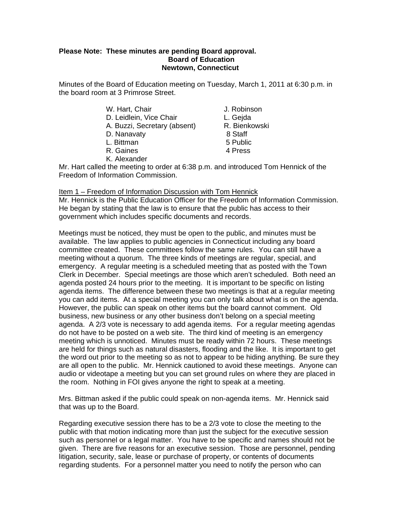## **Please Note: These minutes are pending Board approval. Board of Education Newtown, Connecticut**

Minutes of the Board of Education meeting on Tuesday, March 1, 2011 at 6:30 p.m. in the board room at 3 Primrose Street.

| W. Hart, Chair               | J. Robins |
|------------------------------|-----------|
| D. Leidlein, Vice Chair      | L. Gejda  |
| A. Buzzi, Secretary (absent) | R. Bienk  |
| D. Nanavaty                  | 8 Staff   |
| L. Bittman                   | 5 Public  |
| R. Gaines                    | 4 Press   |

- J. Robinson L. Geida R. Bienkowski
- 5 Public

K. Alexander

Mr. Hart called the meeting to order at 6:38 p.m. and introduced Tom Hennick of the Freedom of Information Commission.

# Item 1 – Freedom of Information Discussion with Tom Hennick

Mr. Hennick is the Public Education Officer for the Freedom of Information Commission. He began by stating that the law is to ensure that the public has access to their government which includes specific documents and records.

Meetings must be noticed, they must be open to the public, and minutes must be available. The law applies to public agencies in Connecticut including any board committee created. These committees follow the same rules. You can still have a meeting without a quorum. The three kinds of meetings are regular, special, and emergency. A regular meeting is a scheduled meeting that as posted with the Town Clerk in December. Special meetings are those which aren't scheduled. Both need an agenda posted 24 hours prior to the meeting. It is important to be specific on listing agenda items. The difference between these two meetings is that at a regular meeting you can add items. At a special meeting you can only talk about what is on the agenda. However, the public can speak on other items but the board cannot comment. Old business, new business or any other business don't belong on a special meeting agenda. A 2/3 vote is necessary to add agenda items. For a regular meeting agendas do not have to be posted on a web site. The third kind of meeting is an emergency meeting which is unnoticed. Minutes must be ready within 72 hours. These meetings are held for things such as natural disasters, flooding and the like. It is important to get the word out prior to the meeting so as not to appear to be hiding anything. Be sure they are all open to the public. Mr. Hennick cautioned to avoid these meetings. Anyone can audio or videotape a meeting but you can set ground rules on where they are placed in the room. Nothing in FOI gives anyone the right to speak at a meeting.

Mrs. Bittman asked if the public could speak on non-agenda items. Mr. Hennick said that was up to the Board.

Regarding executive session there has to be a 2/3 vote to close the meeting to the public with that motion indicating more than just the subject for the executive session such as personnel or a legal matter. You have to be specific and names should not be given. There are five reasons for an executive session. Those are personnel, pending litigation, security, sale, lease or purchase of property, or contents of documents regarding students. For a personnel matter you need to notify the person who can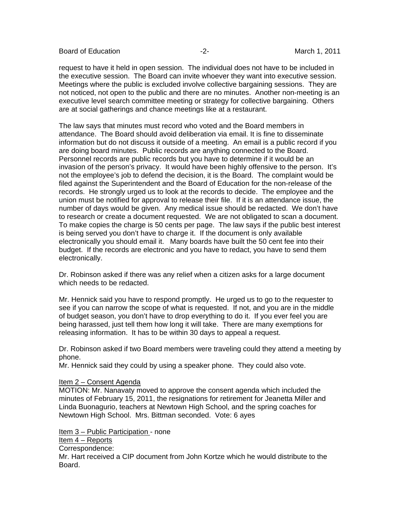Board of Education  $\overline{a}$  -2- The Contract March 1, 2011

request to have it held in open session. The individual does not have to be included in the executive session. The Board can invite whoever they want into executive session. Meetings where the public is excluded involve collective bargaining sessions. They are not noticed, not open to the public and there are no minutes. Another non-meeting is an executive level search committee meeting or strategy for collective bargaining. Others are at social gatherings and chance meetings like at a restaurant.

The law says that minutes must record who voted and the Board members in attendance. The Board should avoid deliberation via email. It is fine to disseminate information but do not discuss it outside of a meeting. An email is a public record if you are doing board minutes. Public records are anything connected to the Board. Personnel records are public records but you have to determine if it would be an invasion of the person's privacy. It would have been highly offensive to the person. It's not the employee's job to defend the decision, it is the Board. The complaint would be filed against the Superintendent and the Board of Education for the non-release of the records. He strongly urged us to look at the records to decide. The employee and the union must be notified for approval to release their file. If it is an attendance issue, the number of days would be given. Any medical issue should be redacted. We don't have to research or create a document requested. We are not obligated to scan a document. To make copies the charge is 50 cents per page. The law says if the public best interest is being served you don't have to charge it. If the document is only available electronically you should email it. Many boards have built the 50 cent fee into their budget. If the records are electronic and you have to redact, you have to send them electronically.

Dr. Robinson asked if there was any relief when a citizen asks for a large document which needs to be redacted.

Mr. Hennick said you have to respond promptly. He urged us to go to the requester to see if you can narrow the scope of what is requested. If not, and you are in the middle of budget season, you don't have to drop everything to do it. If you ever feel you are being harassed, just tell them how long it will take. There are many exemptions for releasing information. It has to be within 30 days to appeal a request.

Dr. Robinson asked if two Board members were traveling could they attend a meeting by phone.

Mr. Hennick said they could by using a speaker phone. They could also vote.

## Item 2 – Consent Agenda

MOTION: Mr. Nanavaty moved to approve the consent agenda which included the minutes of February 15, 2011, the resignations for retirement for Jeanetta Miller and Linda Buonagurio, teachers at Newtown High School, and the spring coaches for Newtown High School. Mrs. Bittman seconded. Vote: 6 ayes

Item 3 – Public Participation - none

Item 4 – Reports

Correspondence:

Mr. Hart received a CIP document from John Kortze which he would distribute to the Board.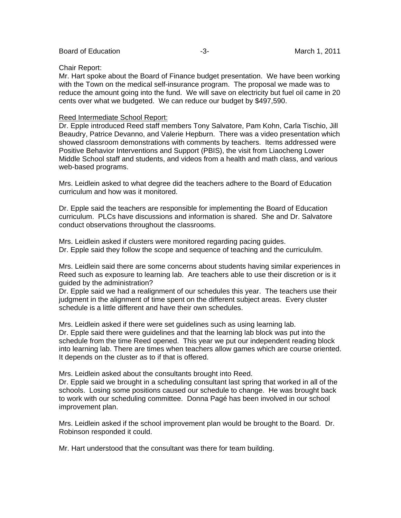#### Chair Report:

Mr. Hart spoke about the Board of Finance budget presentation. We have been working with the Town on the medical self-insurance program. The proposal we made was to reduce the amount going into the fund. We will save on electricity but fuel oil came in 20 cents over what we budgeted. We can reduce our budget by \$497,590.

#### Reed Intermediate School Report:

Dr. Epple introduced Reed staff members Tony Salvatore, Pam Kohn, Carla Tischio, Jill Beaudry, Patrice Devanno, and Valerie Hepburn. There was a video presentation which showed classroom demonstrations with comments by teachers. Items addressed were Positive Behavior Interventions and Support (PBIS), the visit from Liaocheng Lower Middle School staff and students, and videos from a health and math class, and various web-based programs.

Mrs. Leidlein asked to what degree did the teachers adhere to the Board of Education curriculum and how was it monitored.

Dr. Epple said the teachers are responsible for implementing the Board of Education curriculum. PLCs have discussions and information is shared. She and Dr. Salvatore conduct observations throughout the classrooms.

Mrs. Leidlein asked if clusters were monitored regarding pacing guides. Dr. Epple said they follow the scope and sequence of teaching and the curricululm.

Mrs. Leidlein said there are some concerns about students having similar experiences in Reed such as exposure to learning lab. Are teachers able to use their discretion or is it guided by the administration?

Dr. Epple said we had a realignment of our schedules this year. The teachers use their judgment in the alignment of time spent on the different subject areas. Every cluster schedule is a little different and have their own schedules.

Mrs. Leidlein asked if there were set guidelines such as using learning lab. Dr. Epple said there were guidelines and that the learning lab block was put into the schedule from the time Reed opened. This year we put our independent reading block into learning lab. There are times when teachers allow games which are course oriented. It depends on the cluster as to if that is offered.

Mrs. Leidlein asked about the consultants brought into Reed.

Dr. Epple said we brought in a scheduling consultant last spring that worked in all of the schools. Losing some positions caused our schedule to change. He was brought back to work with our scheduling committee. Donna Pagé has been involved in our school improvement plan.

Mrs. Leidlein asked if the school improvement plan would be brought to the Board. Dr. Robinson responded it could.

Mr. Hart understood that the consultant was there for team building.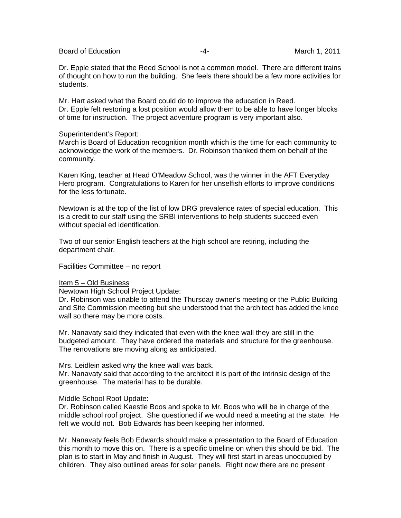Board of Education  $\overline{a}$  -4- Figure 2011

Dr. Epple stated that the Reed School is not a common model. There are different trains of thought on how to run the building. She feels there should be a few more activities for students.

Mr. Hart asked what the Board could do to improve the education in Reed. Dr. Epple felt restoring a lost position would allow them to be able to have longer blocks of time for instruction. The project adventure program is very important also.

### Superintendent's Report:

March is Board of Education recognition month which is the time for each community to acknowledge the work of the members. Dr. Robinson thanked them on behalf of the community.

Karen King, teacher at Head O'Meadow School, was the winner in the AFT Everyday Hero program. Congratulations to Karen for her unselfish efforts to improve conditions for the less fortunate.

Newtown is at the top of the list of low DRG prevalence rates of special education. This is a credit to our staff using the SRBI interventions to help students succeed even without special ed identification.

Two of our senior English teachers at the high school are retiring, including the department chair.

Facilities Committee – no report

## Item 5 – Old Business

Newtown High School Project Update:

Dr. Robinson was unable to attend the Thursday owner's meeting or the Public Building and Site Commission meeting but she understood that the architect has added the knee wall so there may be more costs.

Mr. Nanavaty said they indicated that even with the knee wall they are still in the budgeted amount. They have ordered the materials and structure for the greenhouse. The renovations are moving along as anticipated.

Mrs. Leidlein asked why the knee wall was back.

Mr. Nanavaty said that according to the architect it is part of the intrinsic design of the greenhouse. The material has to be durable.

## Middle School Roof Update:

Dr. Robinson called Kaestle Boos and spoke to Mr. Boos who will be in charge of the middle school roof project. She questioned if we would need a meeting at the state. He felt we would not. Bob Edwards has been keeping her informed.

Mr. Nanavaty feels Bob Edwards should make a presentation to the Board of Education this month to move this on. There is a specific timeline on when this should be bid. The plan is to start in May and finish in August. They will first start in areas unoccupied by children. They also outlined areas for solar panels. Right now there are no present